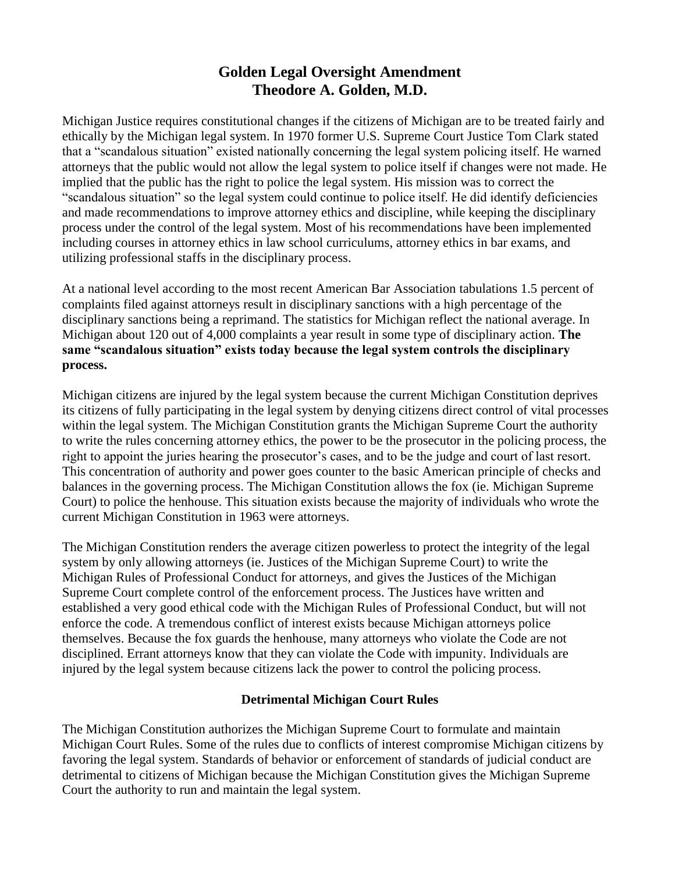# **Golden Legal Oversight Amendment Theodore A. Golden, M.D.**

Michigan Justice requires constitutional changes if the citizens of Michigan are to be treated fairly and ethically by the Michigan legal system. In 1970 former U.S. Supreme Court Justice Tom Clark stated that a "scandalous situation" existed nationally concerning the legal system policing itself. He warned attorneys that the public would not allow the legal system to police itself if changes were not made. He implied that the public has the right to police the legal system. His mission was to correct the "scandalous situation" so the legal system could continue to police itself. He did identify deficiencies and made recommendations to improve attorney ethics and discipline, while keeping the disciplinary process under the control of the legal system. Most of his recommendations have been implemented including courses in attorney ethics in law school curriculums, attorney ethics in bar exams, and utilizing professional staffs in the disciplinary process.

At a national level according to the most recent American Bar Association tabulations 1.5 percent of complaints filed against attorneys result in disciplinary sanctions with a high percentage of the disciplinary sanctions being a reprimand. The statistics for Michigan reflect the national average. In Michigan about 120 out of 4,000 complaints a year result in some type of disciplinary action. **The same "scandalous situation" exists today because the legal system controls the disciplinary process.**

Michigan citizens are injured by the legal system because the current Michigan Constitution deprives its citizens of fully participating in the legal system by denying citizens direct control of vital processes within the legal system. The Michigan Constitution grants the Michigan Supreme Court the authority to write the rules concerning attorney ethics, the power to be the prosecutor in the policing process, the right to appoint the juries hearing the prosecutor's cases, and to be the judge and court of last resort. This concentration of authority and power goes counter to the basic American principle of checks and balances in the governing process. The Michigan Constitution allows the fox (ie. Michigan Supreme Court) to police the henhouse. This situation exists because the majority of individuals who wrote the current Michigan Constitution in 1963 were attorneys.

The Michigan Constitution renders the average citizen powerless to protect the integrity of the legal system by only allowing attorneys (ie. Justices of the Michigan Supreme Court) to write the Michigan Rules of Professional Conduct for attorneys, and gives the Justices of the Michigan Supreme Court complete control of the enforcement process. The Justices have written and established a very good ethical code with the Michigan Rules of Professional Conduct, but will not enforce the code. A tremendous conflict of interest exists because Michigan attorneys police themselves. Because the fox guards the henhouse, many attorneys who violate the Code are not disciplined. Errant attorneys know that they can violate the Code with impunity. Individuals are injured by the legal system because citizens lack the power to control the policing process.

# **Detrimental Michigan Court Rules**

The Michigan Constitution authorizes the Michigan Supreme Court to formulate and maintain Michigan Court Rules. Some of the rules due to conflicts of interest compromise Michigan citizens by favoring the legal system. Standards of behavior or enforcement of standards of judicial conduct are detrimental to citizens of Michigan because the Michigan Constitution gives the Michigan Supreme Court the authority to run and maintain the legal system.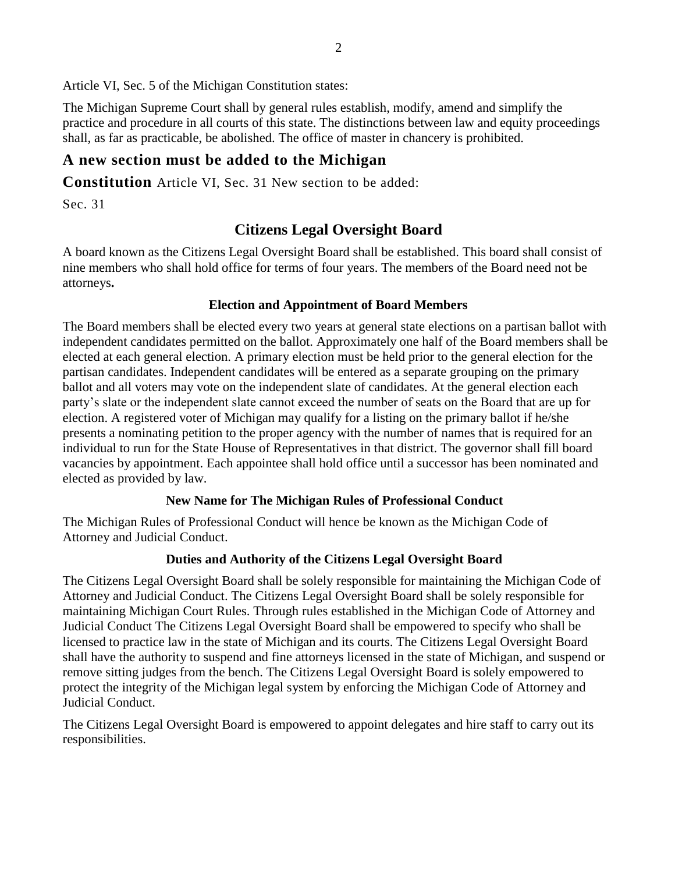Article VI, Sec. 5 of the Michigan Constitution states:

The Michigan Supreme Court shall by general rules establish, modify, amend and simplify the practice and procedure in all courts of this state. The distinctions between law and equity proceedings shall, as far as practicable, be abolished. The office of master in chancery is prohibited.

# **A new section must be added to the Michigan**

**Constitution** Article VI, Sec. 31 New section to be added:

Sec. 31

# **Citizens Legal Oversight Board**

A board known as the Citizens Legal Oversight Board shall be established. This board shall consist of nine members who shall hold office for terms of four years. The members of the Board need not be attorneys**.**

# **Election and Appointment of Board Members**

The Board members shall be elected every two years at general state elections on a partisan ballot with independent candidates permitted on the ballot. Approximately one half of the Board members shall be elected at each general election. A primary election must be held prior to the general election for the partisan candidates. Independent candidates will be entered as a separate grouping on the primary ballot and all voters may vote on the independent slate of candidates. At the general election each party's slate or the independent slate cannot exceed the number of seats on the Board that are up for election. A registered voter of Michigan may qualify for a listing on the primary ballot if he/she presents a nominating petition to the proper agency with the number of names that is required for an individual to run for the State House of Representatives in that district. The governor shall fill board vacancies by appointment. Each appointee shall hold office until a successor has been nominated and elected as provided by law.

# **New Name for The Michigan Rules of Professional Conduct**

The Michigan Rules of Professional Conduct will hence be known as the Michigan Code of Attorney and Judicial Conduct.

# **Duties and Authority of the Citizens Legal Oversight Board**

The Citizens Legal Oversight Board shall be solely responsible for maintaining the Michigan Code of Attorney and Judicial Conduct. The Citizens Legal Oversight Board shall be solely responsible for maintaining Michigan Court Rules. Through rules established in the Michigan Code of Attorney and Judicial Conduct The Citizens Legal Oversight Board shall be empowered to specify who shall be licensed to practice law in the state of Michigan and its courts. The Citizens Legal Oversight Board shall have the authority to suspend and fine attorneys licensed in the state of Michigan, and suspend or remove sitting judges from the bench. The Citizens Legal Oversight Board is solely empowered to protect the integrity of the Michigan legal system by enforcing the Michigan Code of Attorney and Judicial Conduct.

The Citizens Legal Oversight Board is empowered to appoint delegates and hire staff to carry out its responsibilities.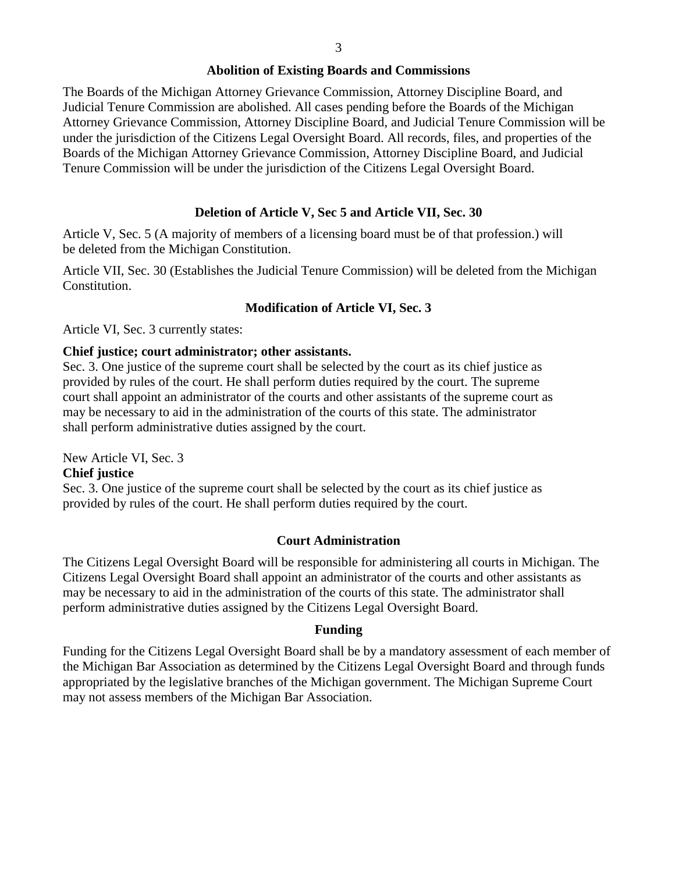#### **Abolition of Existing Boards and Commissions**

The Boards of the Michigan Attorney Grievance Commission, Attorney Discipline Board, and Judicial Tenure Commission are abolished. All cases pending before the Boards of the Michigan Attorney Grievance Commission, Attorney Discipline Board, and Judicial Tenure Commission will be under the jurisdiction of the Citizens Legal Oversight Board. All records, files, and properties of the Boards of the Michigan Attorney Grievance Commission, Attorney Discipline Board, and Judicial Tenure Commission will be under the jurisdiction of the Citizens Legal Oversight Board.

## **Deletion of Article V, Sec 5 and Article VII, Sec. 30**

Article V, Sec. 5 (A majority of members of a licensing board must be of that profession.) will be deleted from the Michigan Constitution.

Article VII, Sec. 30 (Establishes the Judicial Tenure Commission) will be deleted from the Michigan Constitution.

### **Modification of Article VI, Sec. 3**

Article VI, Sec. 3 currently states:

### **Chief justice; court administrator; other assistants.**

Sec. 3. One justice of the supreme court shall be selected by the court as its chief justice as provided by rules of the court. He shall perform duties required by the court. The supreme court shall appoint an administrator of the courts and other assistants of the supreme court as may be necessary to aid in the administration of the courts of this state. The administrator shall perform administrative duties assigned by the court.

New Article VI, Sec. 3

### **Chief justice**

Sec. 3. One justice of the supreme court shall be selected by the court as its chief justice as provided by rules of the court. He shall perform duties required by the court.

### **Court Administration**

The Citizens Legal Oversight Board will be responsible for administering all courts in Michigan. The Citizens Legal Oversight Board shall appoint an administrator of the courts and other assistants as may be necessary to aid in the administration of the courts of this state. The administrator shall perform administrative duties assigned by the Citizens Legal Oversight Board.

#### **Funding**

Funding for the Citizens Legal Oversight Board shall be by a mandatory assessment of each member of the Michigan Bar Association as determined by the Citizens Legal Oversight Board and through funds appropriated by the legislative branches of the Michigan government. The Michigan Supreme Court may not assess members of the Michigan Bar Association.